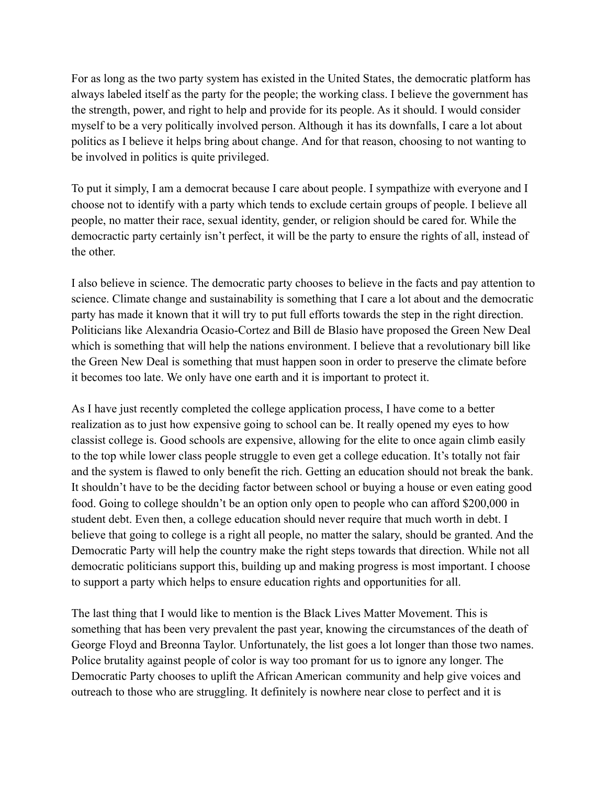For as long as the two party system has existed in the United States, the democratic platform has always labeled itself as the party for the people; the working class. I believe the government has the strength, power, and right to help and provide for its people. As it should. I would consider myself to be a very politically involved person. Although it has its downfalls, I care a lot about politics as I believe it helps bring about change. And for that reason, choosing to not wanting to be involved in politics is quite privileged.

To put it simply, I am a democrat because I care about people. I sympathize with everyone and I choose not to identify with a party which tends to exclude certain groups of people. I believe all people, no matter their race, sexual identity, gender, or religion should be cared for. While the democractic party certainly isn't perfect, it will be the party to ensure the rights of all, instead of the other.

I also believe in science. The democratic party chooses to believe in the facts and pay attention to science. Climate change and sustainability is something that I care a lot about and the democratic party has made it known that it will try to put full efforts towards the step in the right direction. Politicians like Alexandria Ocasio-Cortez and Bill de Blasio have proposed the Green New Deal which is something that will help the nations environment. I believe that a revolutionary bill like the Green New Deal is something that must happen soon in order to preserve the climate before it becomes too late. We only have one earth and it is important to protect it.

As I have just recently completed the college application process, I have come to a better realization as to just how expensive going to school can be. It really opened my eyes to how classist college is. Good schools are expensive, allowing for the elite to once again climb easily to the top while lower class people struggle to even get a college education. It's totally not fair and the system is flawed to only benefit the rich. Getting an education should not break the bank. It shouldn't have to be the deciding factor between school or buying a house or even eating good food. Going to college shouldn't be an option only open to people who can afford \$200,000 in student debt. Even then, a college education should never require that much worth in debt. I believe that going to college is a right all people, no matter the salary, should be granted. And the Democratic Party will help the country make the right steps towards that direction. While not all democratic politicians support this, building up and making progress is most important. I choose to support a party which helps to ensure education rights and opportunities for all.

The last thing that I would like to mention is the Black Lives Matter Movement. This is something that has been very prevalent the past year, knowing the circumstances of the death of George Floyd and Breonna Taylor. Unfortunately, the list goes a lot longer than those two names. Police brutality against people of color is way too promant for us to ignore any longer. The Democratic Party chooses to uplift the African American community and help give voices and outreach to those who are struggling. It definitely is nowhere near close to perfect and it is